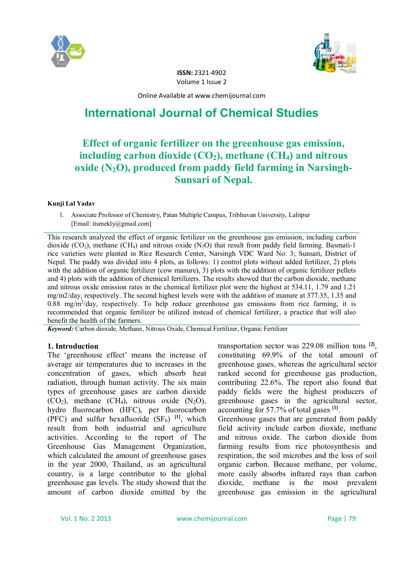



**ISSN:** 2321-4902 Volume 1 Issue 2

Online Available at www.chemijournal.com

# **International Journal of Chemical Studies**

## **Effect of organic fertilizer on the greenhouse gas emission, including carbon dioxide (CO2), methane (CH4) and nitrous oxide (N2O), produced from paddy field farming in Narsingh-Sunsari of Nepal.**

#### **Kunji Lal Yadav**

1. Associate Professor of Chemistry, Patan Multiple Campus, Tribhuvan University, Lalitpur [Email: itsmekly@gmail.com]

This research analyzed the effect of organic fertilizer on the greenhouse gas emission, including carbon dioxide  $(CO_2)$ , methane  $(CH_4)$  and nitrous oxide  $(N_2O)$  that result from paddy field farming. Basmati-1 rice varieties were planted in Rice Research Center, Narsingh VDC Ward No: 3; Sunsari, District of Nepal. The paddy was divided into 4 plots, as follows: 1) control plots without added fertilizer, 2) plots with the addition of organic fertilizer (cow manure), 3) plots with the addition of organic fertilizer pellets and 4) plots with the addition of chemical fertilizers. The results showed that the carbon dioxide, methane and nitrous oxide emission rates in the chemical fertilizer plot were the highest at 534.11, 1.79 and 1.21 mg/m2/day, respectively. The second highest levels were with the addition of manure at 377.35, 1.35 and 0.88 mg/m<sup>2</sup>/day, respectively. To help reduce greenhouse gas emissions from rice farming, it is recommended that organic fertilizer be utilized instead of chemical fertilizer, a practice that will also benefit the health of the farmers.

*Keyword:* Carbon dioxide, Methane, Nitrous Oxide, Chemical Fertilizer, Organic Fertilizer

#### **1. Introduction**

The 'greenhouse effect' means the increase of average air temperatures due to increases in the concentration of gases, which absorb heat radiation, through human activity. The six main types of greenhouse gases are carbon dioxide  $(CO_2)$ , methane  $(CH_4)$ , nitrous oxide  $(N_2O)$ , hydro fluorocarbon (HFC), per fluorocarbon (PFC) and sulfur hexafluoride  $(SF_6)$  <sup>[1]</sup>, which result from both industrial and agriculture activities. According to the report of The Greenhouse Gas Management Organization, which calculated the amount of greenhouse gases in the year 2000, Thailand, as an agricultural country, is a large contributor to the global greenhouse gas levels. The study showed that the amount of carbon dioxide emitted by the

transportation sector was 229.08 million tons **[2]** , constituting 69.9% of the total amount of greenhouse gases, whereas the agricultural sector ranked second for greenhouse gas production, contributing 22.6%. The report also found that paddy fields were the highest producers of greenhouse gases in the agricultural sector, accounting for 57.7% of total gases **[1]** .

Greenhouse gases that are generated from paddy field activity include carbon dioxide, methane and nitrous oxide. The carbon dioxide from farming results from rice photosynthesis and respiration, the soil microbes and the loss of soil organic carbon. Because methane, per volume, more easily absorbs infrared rays than carbon dioxide, methane is the most prevalent greenhouse gas emission in the agricultural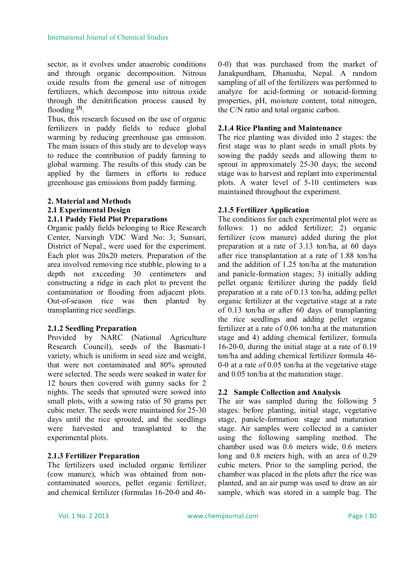sector, as it evolves under anaerobic conditions and through organic decomposition. Nitrous oxide results from the general use of nitrogen fertilizers, which decompose into nitrous oxide through the denitrification process caused by flooding **[3]** .

Thus, this research focused on the use of organic fertilizers in paddy fields to reduce global warming by reducing greenhouse gas emission. The main issues of this study are to develop ways to reduce the contribution of paddy farming to global warming. The results of this study can be applied by the farmers in efforts to reduce greenhouse gas emissions from paddy farming.

## **2. Material and Methods 2.1 Experimental Design**

## **2.1.1 Paddy Field Plot Preparations**

Organic paddy fields belonging to Rice Research Center, Narsingh VDC Ward No: 3; Sunsari, District of Nepal., were used for the experiment. Each plot was 20x20 meters. Preparation of the area involved removing rice stubble, plowing to a depth not exceeding 30 centimeters and constructing a ridge in each plot to prevent the contamination or flooding from adjacent plots. Out-of-season rice was then planted by transplanting rice seedlings.

#### **2.1.2 Seedling Preparation**

Provided by NARC (National Agriculture Research Council), seeds of the Basmati-1 variety, which is uniform in seed size and weight, that were not contaminated and 80% sprouted were selected. The seeds were soaked in water for 12 hours then covered with gunny sacks for 2 nights. The seeds that sprouted were sowed into small plots, with a sowing ratio of 50 grams per cubic meter. The seeds were maintained for 25-30 days until the rice sprouted, and the seedlings were harvested and transplanted to the experimental plots.

## **2.1.3 Fertilizer Preparation**

The fertilizers used included organic fertilizer (cow manure), which was obtained from noncontaminated sources, pellet organic fertilizer, and chemical fertilizer (formulas 16-20-0 and 460-0) that was purchased from the market of Janakpurdham, Dhanusha, Nepal. A random sampling of all of the fertilizers was performed to analyze for acid-forming or nonacid-forming properties, pH, moisture content, total nitrogen, the C/N ratio and total organic carbon.

## **2.1.4 Rice Planting and Maintenance**

The rice planting was divided into 2 stages: the first stage was to plant seeds in small plots by sowing the paddy seeds and allowing them to sprout in approximately 25-30 days; the second stage was to harvest and replant into experimental plots. A water level of 5-10 centimeters was maintained throughout the experiment.

## **2.1.5 Fertilizer Application**

The conditions for each experimental plot were as follows: 1) no added fertilizer; 2) organic fertilizer (cow manure) added during the plot preparation at a rate of 3.13 ton/ha, at 60 days after rice transplantation at a rate of 1.88 ton/ha and the addition of 1.25 ton/ha at the maturation and panicle-formation stages; 3) initially adding pellet organic fertilizer during the paddy field preparation at a rate of 0.13 ton/ha, adding pellet organic fertilizer at the vegetative stage at a rate of 0.13 ton/ha or after 60 days of transplanting the rice seedlings and adding pellet organic fertilizer at a rate of 0.06 ton/ha at the maturation stage and 4) adding chemical fertilizer, formula 16-20-0, during the initial stage at a rate of 0.19 ton/ha and adding chemical fertilizer formula 46- 0-0 at a rate of 0.05 ton/ha at the vegetative stage and 0.05 ton/ha at the maturation stage.

## **2.2 Sample Collection and Analysis**

The air was sampled during the following 5 stages: before planting, initial stage, vegetative stage, panicle-formation stage and maturation stage. Air samples were collected in a canister using the following sampling method. The chamber used was 0.6 meters wide, 0.6 meters long and 0.8 meters high, with an area of 0.29 cubic meters. Prior to the sampling period, the chamber was placed in the plots after the rice was planted, and an air pump was used to draw an air sample, which was stored in a sample bag. The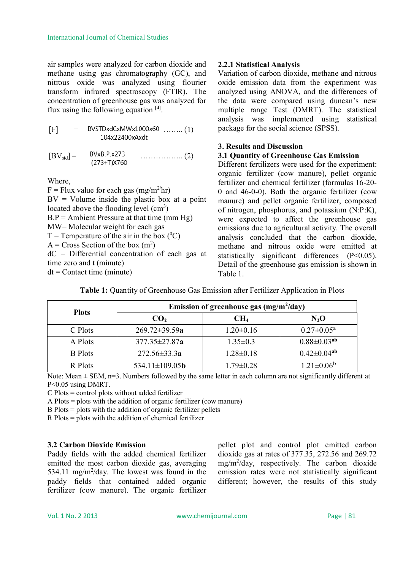air samples were analyzed for carbon dioxide and methane using gas chromatography (GC), and nitrous oxide was analyzed using flourier transform infrared spectroscopy (FTIR). The concentration of greenhouse gas was analyzed for flux using the following equation **[4]** .

$$
[F] = \frac{BVSTDxdCxMWx1000x60}{104x22400xAxdt} \dots (1)
$$

Where,

 $F =$  Flux value for each gas (mg/m<sup>2/</sup>hr)  $BV = Volume$  inside the plastic box at a point located above the flooding level  $(cm<sup>3</sup>)$  $B.P =$  Ambient Pressure at that time (mm Hg) MW= Molecular weight for each gas  $T =$  Temperature of the air in the box  $(^{0}C)$  $A = Cross Section of the box (m<sup>2</sup>)$ dC = Differential concentration of each gas at time zero and t (minute)  $dt =$ Contact time (minute)

## **2.2.1 Statistical Analysis**

Variation of carbon dioxide, methane and nitrous oxide emission data from the experiment was analyzed using ANOVA, and the differences of the data were compared using duncan's new multiple range Test (DMRT). The statistical analysis was implemented using statistical package for the social science (SPSS).

## **3. Results and Discussion**

## **3.1 Quantity of Greenhouse Gas Emission**

Different fertilizers were used for the experiment: organic fertilizer (cow manure), pellet organic fertilizer and chemical fertilizer (formulas 16-20- 0 and 46-0-0). Both the organic fertilizer (cow manure) and pellet organic fertilizer, composed of nitrogen, phosphorus, and potassium (N:P:K), were expected to affect the greenhouse gas emissions due to agricultural activity. The overall analysis concluded that the carbon dioxide, methane and nitrous oxide were emitted at statistically significant differences (P<0.05). Detail of the greenhouse gas emission is shown in Table 1.

| <b>Plots</b>   | Emission of greenhouse gas $(mg/m^2/day)$ |                 |                         |  |
|----------------|-------------------------------------------|-----------------|-------------------------|--|
|                | CO <sub>2</sub>                           | CH <sub>4</sub> | $N_2$ O                 |  |
| C Plots        | $269.72 \pm 39.59a$                       | $1.20 \pm 0.16$ | $0.27 \pm 0.05^{\rm a}$ |  |
| A Plots        | $377.35 \pm 27.87$ a                      | $1.35 \pm 0.3$  | $0.88 \pm 0.03^{ab}$    |  |
| <b>B</b> Plots | $272.56 \pm 33.3a$                        | $1.28 \pm 0.18$ | $0.42 \pm 0.04^{ab}$    |  |
| R Plots        | 534.11 $\pm$ 109.05b                      | $1.79 \pm 0.28$ | $1.21 \pm 0.06^{\rm b}$ |  |

**Table 1:** Quantity of Greenhouse Gas Emission after Fertilizer Application in Plots

Note: Mean  $\pm$  SEM, n=3. Numbers followed by the same letter in each column are not significantly different at P<0.05 using DMRT.

C Plots = control plots without added fertilizer

A Plots = plots with the addition of organic fertilizer (cow manure)

B Plots = plots with the addition of organic fertilizer pellets

R Plots = plots with the addition of chemical fertilizer

## **3.2 Carbon Dioxide Emission**

Paddy fields with the added chemical fertilizer emitted the most carbon dioxide gas, averaging 534.11 mg/m<sup>2</sup>/day. The lowest was found in the paddy fields that contained added organic fertilizer (cow manure). The organic fertilizer

pellet plot and control plot emitted carbon dioxide gas at rates of 377.35, 272.56 and 269.72 mg/m<sup>2</sup> /day, respectively. The carbon dioxide emission rates were not statistically significant different; however, the results of this study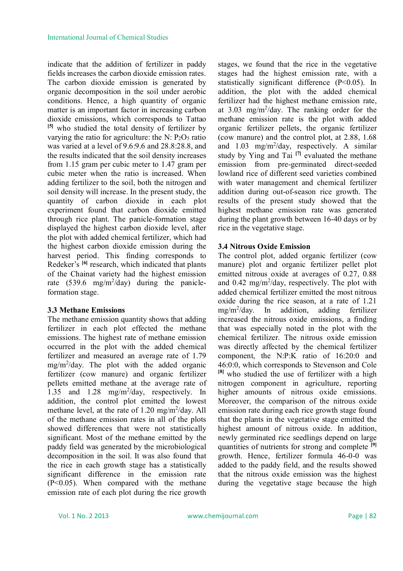indicate that the addition of fertilizer in paddy fields increases the carbon dioxide emission rates. The carbon dioxide emission is generated by organic decomposition in the soil under aerobic conditions. Hence, a high quantity of organic matter is an important factor in increasing carbon dioxide emissions, which corresponds to Tattao **[5]** who studied the total density of fertilizer by varying the ratio for agriculture: the N:  $P_2O_5$  ratio was varied at a level of 9.6:9.6 and 28.8:28.8, and the results indicated that the soil density increases from 1.15 gram per cubic meter to 1.47 gram per cubic meter when the ratio is increased. When adding fertilizer to the soil, both the nitrogen and soil density will increase. In the present study, the quantity of carbon dioxide in each plot experiment found that carbon dioxide emitted through rice plant. The panicle-formation stage displayed the highest carbon dioxide level, after the plot with added chemical fertilizer, which had the highest carbon dioxide emission during the harvest period. This finding corresponds to Redeker's **[6]** research, which indicated that plants of the Chainat variety had the highest emission rate  $(539.6 \text{ mg/m}^2/\text{day})$  during the panicleformation stage.

#### **3.3 Methane Emissions**

The methane emission quantity shows that adding fertilizer in each plot effected the methane emissions. The highest rate of methane emission occurred in the plot with the added chemical fertilizer and measured an average rate of 1.79 mg/m<sup>2</sup> /day. The plot with the added organic fertilizer (cow manure) and organic fertilizer pellets emitted methane at the average rate of 1.35 and 1.28 mg/m<sup>2</sup>/day, respectively. In addition, the control plot emitted the lowest methane level, at the rate of  $1.20 \text{ mg/m}^2/\text{day}$ . All of the methane emission rates in all of the plots showed differences that were not statistically significant. Most of the methane emitted by the paddy field was generated by the microbiological decomposition in the soil. It was also found that the rice in each growth stage has a statistically significant difference in the emission rate (P<0.05). When compared with the methane emission rate of each plot during the rice growth

stages, we found that the rice in the vegetative stages had the highest emission rate, with a statistically significant difference (P<0.05). In addition, the plot with the added chemical fertilizer had the highest methane emission rate, at  $3.03 \text{ mg/m}^2/\text{day}$ . The ranking order for the methane emission rate is the plot with added organic fertilizer pellets, the organic fertilizer (cow manure) and the control plot, at 2.88, 1.68 and 1.03 mg/m<sup>2</sup> /day, respectively. A similar study by Ying and Tai **[7]** evaluated the methane emission from pre-germinated direct-seeded lowland rice of different seed varieties combined with water management and chemical fertilizer addition during out-of-season rice growth. The results of the present study showed that the highest methane emission rate was generated during the plant growth between 16-40 days or by rice in the vegetative stage.

#### **3.4 Nitrous Oxide Emission**

The control plot, added organic fertilizer (cow manure) plot and organic fertilizer pellet plot emitted nitrous oxide at averages of 0.27, 0.88 and 0.42 mg/m<sup>2</sup>/day, respectively. The plot with added chemical fertilizer emitted the most nitrous oxide during the rice season, at a rate of 1.21 mg/m<sup>2</sup> /day. In addition, adding fertilizer increased the nitrous oxide emissions, a finding that was especially noted in the plot with the chemical fertilizer. The nitrous oxide emission was directly affected by the chemical fertilizer component, the N:P:K ratio of 16:20:0 and 46:0:0, which corresponds to Stevenson and Cole **[8]** who studied the use of fertilizer with a high nitrogen component in agriculture, reporting higher amounts of nitrous oxide emissions. Moreover, the comparison of the nitrous oxide emission rate during each rice growth stage found that the plants in the vegetative stage emitted the highest amount of nitrous oxide. In addition, newly germinated rice seedlings depend on large quantities of nutrients for strong and complete **[9]** growth. Hence, fertilizer formula 46-0-0 was added to the paddy field, and the results showed that the nitrous oxide emission was the highest during the vegetative stage because the high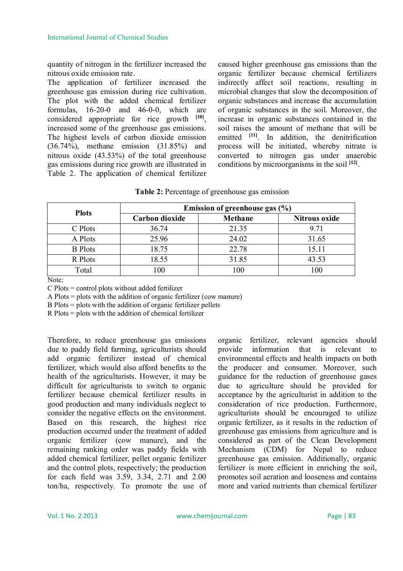quantity of nitrogen in the fertilizer increased the nitrous oxide emission rate.

The application of fertilizer increased the greenhouse gas emission during rice cultivation. The plot with the added chemical fertilizer formulas, 16-20-0 and 46-0-0, which are considered appropriate for rice growth **[10]** , increased some of the greenhouse gas emissions. The highest levels of carbon dioxide emission (36.74%), methane emission (31.85%) and nitrous oxide (43.53%) of the total greenhouse gas emissions during rice growth are illustrated in Table 2. The application of chemical fertilizer

caused higher greenhouse gas emissions than the organic fertilizer because chemical fertilizers indirectly affect soil reactions, resulting in microbial changes that slow the decomposition of organic substances and increase the accumulation of organic substances in the soil. Moreover, the increase in organic substances contained in the soil raises the amount of methane that will be emitted <sup>[11]</sup>. In addition, the denitrification process will be initiated, whereby nitrate is converted to nitrogen gas under anaerobic conditions by microorganisms in the soil **[12]** .

| Table 2: Percentage of greenhouse gas emission |  |
|------------------------------------------------|--|
|------------------------------------------------|--|

| <b>Plots</b>   | Emission of greenhouse gas $(\% )$ |         |                      |  |
|----------------|------------------------------------|---------|----------------------|--|
|                | Carbon dioxide                     | Methane | <b>Nitrous oxide</b> |  |
| C Plots        | 36.74                              | 21.35   | 9.71                 |  |
| A Plots        | 25.96                              | 24.02   | 31.65                |  |
| <b>B</b> Plots | 18.75                              | 22.78   | 15.11                |  |
| R Plots        | 18.55                              | 31.85   | 43.53                |  |
| Total          | 100                                | 100     | 100                  |  |

Note:

C Plots = control plots without added fertilizer

A Plots = plots with the addition of organic fertilizer (cow manure)

B Plots = plots with the addition of organic fertilizer pellets

R Plots = plots with the addition of chemical fertilizer

Therefore, to reduce greenhouse gas emissions due to paddy field farming, agriculturists should add organic fertilizer instead of chemical fertilizer, which would also afford benefits to the health of the agriculturists. However, it may be difficult for agriculturists to switch to organic fertilizer because chemical fertilizer results in good production and many individuals neglect to consider the negative effects on the environment. Based on this research, the highest rice production occurred under the treatment of added organic fertilizer (cow manure), and the remaining ranking order was paddy fields with added chemical fertilizer, pellet organic fertilizer and the control plots, respectively; the production for each field was 3.59, 3.34, 2.71 and 2.00 ton/ha, respectively. To promote the use of organic fertilizer, relevant agencies should provide information that is relevant to environmental effects and health impacts on both the producer and consumer. Moreover, such guidance for the reduction of greenhouse gases due to agriculture should be provided for acceptance by the agriculturist in addition to the consideration of rice production. Furthermore, agriculturists should be encouraged to utilize organic fertilizer, as it results in the reduction of greenhouse gas emissions from agriculture and is considered as part of the Clean Development Mechanism (CDM) for Nepal to reduce greenhouse gas emission. Additionally, organic fertilizer is more efficient in enriching the soil, promotes soil aeration and looseness and contains more and varied nutrients than chemical fertilizer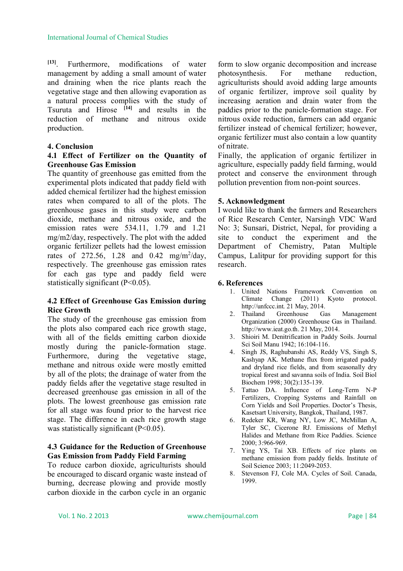**[13]**. Furthermore, modifications of water management by adding a small amount of water and draining when the rice plants reach the vegetative stage and then allowing evaporation as a natural process complies with the study of Tsuruta and Hirose **[14]** and results in the reduction of methane and nitrous oxide production.

#### **4. Conclusion**

#### **4.1 Effect of Fertilizer on the Quantity of Greenhouse Gas Emission**

The quantity of greenhouse gas emitted from the experimental plots indicated that paddy field with added chemical fertilizer had the highest emission rates when compared to all of the plots. The greenhouse gases in this study were carbon dioxide, methane and nitrous oxide, and the emission rates were 534.11, 1.79 and 1.21 mg/m2/day, respectively. The plot with the added organic fertilizer pellets had the lowest emission rates of 272.56, 1.28 and 0.42 mg/m<sup>2</sup>/day, respectively. The greenhouse gas emission rates for each gas type and paddy field were statistically significant (P<0.05).

## **4.2 Effect of Greenhouse Gas Emission during Rice Growth**

The study of the greenhouse gas emission from the plots also compared each rice growth stage, with all of the fields emitting carbon dioxide mostly during the panicle-formation stage. Furthermore, during the vegetative stage, methane and nitrous oxide were mostly emitted by all of the plots; the drainage of water from the paddy fields after the vegetative stage resulted in decreased greenhouse gas emission in all of the plots. The lowest greenhouse gas emission rate for all stage was found prior to the harvest rice stage. The difference in each rice growth stage was statistically significant (P<0.05).

## **4.3 Guidance for the Reduction of Greenhouse Gas Emission from Paddy Field Farming**

To reduce carbon dioxide, agriculturists should be encouraged to discard organic waste instead of burning, decrease plowing and provide mostly carbon dioxide in the carbon cycle in an organic form to slow organic decomposition and increase photosynthesis. For methane reduction, agriculturists should avoid adding large amounts of organic fertilizer, improve soil quality by increasing aeration and drain water from the paddies prior to the panicle-formation stage. For nitrous oxide reduction, farmers can add organic fertilizer instead of chemical fertilizer; however, organic fertilizer must also contain a low quantity of nitrate.

Finally, the application of organic fertilizer in agriculture, especially paddy field farming, would protect and conserve the environment through pollution prevention from non-point sources.

## **5. Acknowledgment**

I would like to thank the farmers and Researchers of Rice Research Center, Narsingh VDC Ward No: 3; Sunsari, District, Nepal, for providing a site to conduct the experiment and the Department of Chemistry, Patan Multiple Campus, Lalitpur for providing support for this research.

#### **6. References**

- 1. United Nations Framework Convention on Climate Change (2011) Kyoto protocol. http://unfccc.int. 21 May, 2014.
- 2. Thailand Greenhouse Gas Management Organization (2000) Greenhouse Gas in Thailand. http://www.ieat.go.th. 21 May, 2014.
- 3. Shioiri M. Denitrification in Paddy Soils. Journal Sci Soil Manu 1942; 16:104-116.
- 4. Singh JS, Raghubanshi AS, Reddy VS, Singh S, Kashyap AK. Methane flux from irrigated paddy and dryland rice fields, and from seasonally dry tropical forest and savanna soils of India. Soil Biol Biochem 1998; 30(2):135-139.
- 5. Tattao DA. Influence of Long-Term N-P Fertilizers, Cropping Systems and Rainfall on Corn Yields and Soil Properties. Doctor's Thesis, Kasetsart University, Bangkok, Thailand, 1987.
- 6. Redeker KR, Wang NY, Low JC, McMillan A, Tyler SC, Cicerone RJ. Emissions of Methyl Halides and Methane from Rice Paddies. Science 2000; 3:966-969.
- 7. Ying YS, Tai XB. Effects of rice plants on methane emission from paddy fields. Institute of Soil Science 2003; 11:2049-2053.
- 8. Stevenson FJ, Cole MA. Cycles of Soil. Canada, 1999.